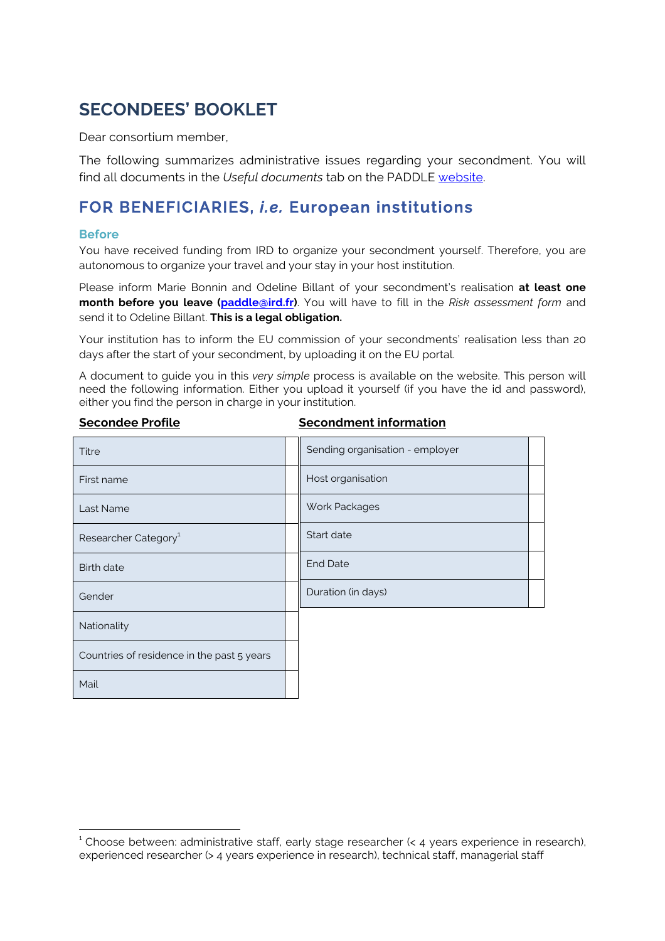# **SECONDEES' BOOKLET**

Dear consortium member,

The following summarizes administrative issues regarding your secondment. You will find all documents in the *Useful documents* tab on the PADDLE website.

## **FOR BENEFICIARIES,** *i.e.* **European institutions**

#### **Before**

You have received funding from IRD to organize your secondment yourself. Therefore, you are autonomous to organize your travel and your stay in your host institution.

Please inform Marie Bonnin and Odeline Billant of your secondment's realisation **at least one month before you leave (paddle@ird.fr)**. You will have to fill in the *Risk assessment form* and send it to Odeline Billant. **This is a legal obligation.**

Your institution has to inform the EU commission of your secondments' realisation less than 20 days after the start of your secondment, by uploading it on the EU portal.

A document to guide you in this *very simple* process is available on the website. This person will need the following information. Either you upload it yourself (if you have the id and password), either you find the person in charge in your institution.

| Titre                                      | Sending organisation - employer |  |
|--------------------------------------------|---------------------------------|--|
| First name                                 | Host organisation               |  |
| Last Name                                  | Work Packages                   |  |
| Researcher Category <sup>1</sup>           | Start date                      |  |
| <b>Birth date</b>                          | <b>End Date</b>                 |  |
| Gender                                     | Duration (in days)              |  |
| Nationality                                |                                 |  |
| Countries of residence in the past 5 years |                                 |  |
| Mail                                       |                                 |  |

#### **Secondee Profile Secondment information**

 $1$  Choose between: administrative staff, early stage researcher  $\leq 4$  years experience in research), experienced researcher (> 4 years experience in research), technical staff, managerial staff